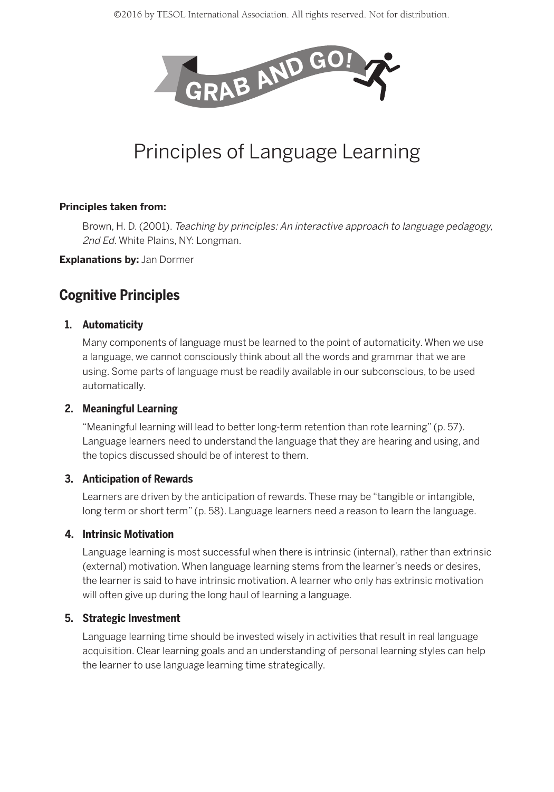

# Principles of Language Learning

#### **Principles taken from:**

Brown, H. D. (2001). Teaching by principles: An interactive approach to language pedagogy, 2nd Ed. White Plains, NY: Longman.

**Explanations by:** Jan Dormer

# **Cognitive Principles**

# **1. Automaticity**

Many components of language must be learned to the point of automaticity. When we use a language, we cannot consciously think about all the words and grammar that we are using. Some parts of language must be readily available in our subconscious, to be used automatically.

# **2. Meaningful Learning**

"Meaningful learning will lead to better long-term retention than rote learning" (p. 57). Language learners need to understand the language that they are hearing and using, and the topics discussed should be of interest to them.

# **3. Anticipation of Rewards**

Learners are driven by the anticipation of rewards. These may be "tangible or intangible, long term or short term" (p. 58). Language learners need a reason to learn the language.

# **4. Intrinsic Motivation**

Language learning is most successful when there is intrinsic (internal), rather than extrinsic (external) motivation. When language learning stems from the learner's needs or desires, the learner is said to have intrinsic motivation. A learner who only has extrinsic motivation will often give up during the long haul of learning a language.

# **5. Strategic Investment**

Language learning time should be invested wisely in activities that result in real language acquisition. Clear learning goals and an understanding of personal learning styles can help the learner to use language learning time strategically.